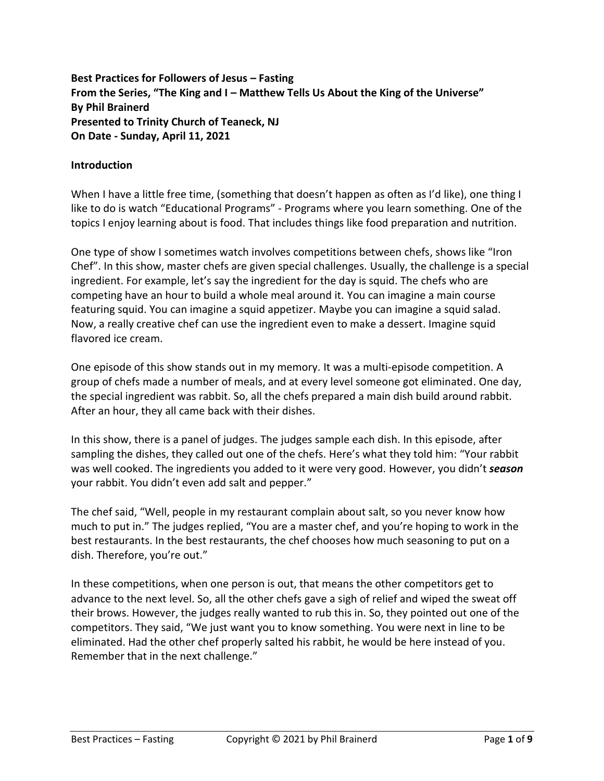**Best Practices for Followers of Jesus – Fasting From the Series, "The King and I – Matthew Tells Us About the King of the Universe" By Phil Brainerd Presented to Trinity Church of Teaneck, NJ On Date - Sunday, April 11, 2021**

### **Introduction**

When I have a little free time, (something that doesn't happen as often as I'd like), one thing I like to do is watch "Educational Programs" - Programs where you learn something. One of the topics I enjoy learning about is food. That includes things like food preparation and nutrition.

One type of show I sometimes watch involves competitions between chefs, shows like "Iron Chef". In this show, master chefs are given special challenges. Usually, the challenge is a special ingredient. For example, let's say the ingredient for the day is squid. The chefs who are competing have an hour to build a whole meal around it. You can imagine a main course featuring squid. You can imagine a squid appetizer. Maybe you can imagine a squid salad. Now, a really creative chef can use the ingredient even to make a dessert. Imagine squid flavored ice cream.

One episode of this show stands out in my memory. It was a multi-episode competition. A group of chefs made a number of meals, and at every level someone got eliminated. One day, the special ingredient was rabbit. So, all the chefs prepared a main dish build around rabbit. After an hour, they all came back with their dishes.

In this show, there is a panel of judges. The judges sample each dish. In this episode, after sampling the dishes, they called out one of the chefs. Here's what they told him: "Your rabbit was well cooked. The ingredients you added to it were very good. However, you didn't *season* your rabbit. You didn't even add salt and pepper."

The chef said, "Well, people in my restaurant complain about salt, so you never know how much to put in." The judges replied, "You are a master chef, and you're hoping to work in the best restaurants. In the best restaurants, the chef chooses how much seasoning to put on a dish. Therefore, you're out."

In these competitions, when one person is out, that means the other competitors get to advance to the next level. So, all the other chefs gave a sigh of relief and wiped the sweat off their brows. However, the judges really wanted to rub this in. So, they pointed out one of the competitors. They said, "We just want you to know something. You were next in line to be eliminated. Had the other chef properly salted his rabbit, he would be here instead of you. Remember that in the next challenge."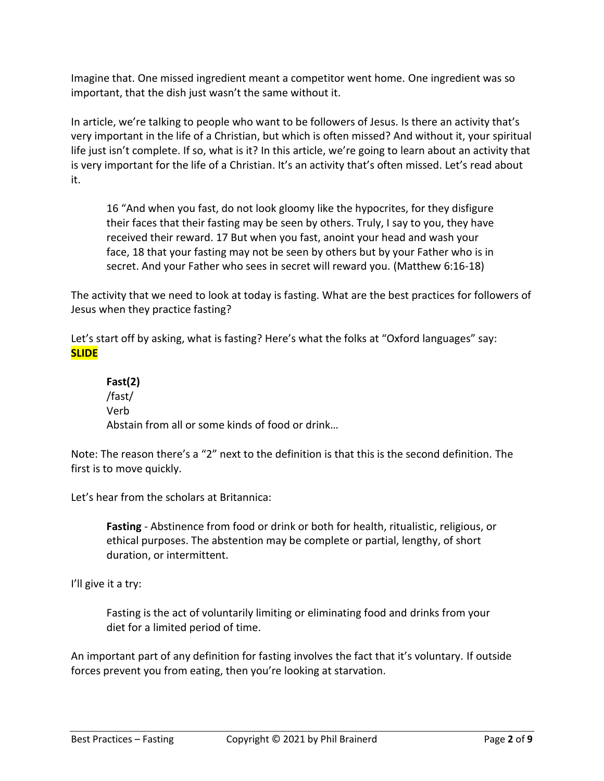Imagine that. One missed ingredient meant a competitor went home. One ingredient was so important, that the dish just wasn't the same without it.

In article, we're talking to people who want to be followers of Jesus. Is there an activity that's very important in the life of a Christian, but which is often missed? And without it, your spiritual life just isn't complete. If so, what is it? In this article, we're going to learn about an activity that is very important for the life of a Christian. It's an activity that's often missed. Let's read about it.

16 "And when you fast, do not look gloomy like the hypocrites, for they disfigure their faces that their fasting may be seen by others. Truly, I say to you, they have received their reward. 17 But when you fast, anoint your head and wash your face, 18 that your fasting may not be seen by others but by your Father who is in secret. And your Father who sees in secret will reward you. (Matthew 6:16-18)

The activity that we need to look at today is fasting. What are the best practices for followers of Jesus when they practice fasting?

Let's start off by asking, what is fasting? Here's what the folks at "Oxford languages" say: **SLIDE**

**Fast(2)** /fast/ Verb Abstain from all or some kinds of food or drink…

Note: The reason there's a "2" next to the definition is that this is the second definition. The first is to move quickly.

Let's hear from the scholars at Britannica:

**Fasting** - Abstinence from food or drink or both for health, ritualistic, religious, or ethical purposes. The abstention may be complete or partial, lengthy, of short duration, or intermittent.

I'll give it a try:

Fasting is the act of voluntarily limiting or eliminating food and drinks from your diet for a limited period of time.

An important part of any definition for fasting involves the fact that it's voluntary. If outside forces prevent you from eating, then you're looking at starvation.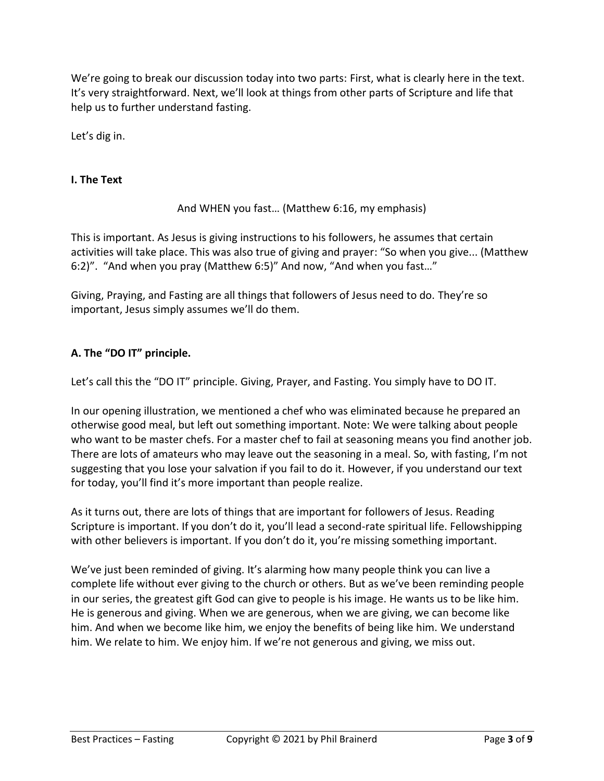We're going to break our discussion today into two parts: First, what is clearly here in the text. It's very straightforward. Next, we'll look at things from other parts of Scripture and life that help us to further understand fasting.

Let's dig in.

### **I. The Text**

And WHEN you fast… (Matthew 6:16, my emphasis)

This is important. As Jesus is giving instructions to his followers, he assumes that certain activities will take place. This was also true of giving and prayer: "So when you give... (Matthew 6:2)". "And when you pray (Matthew 6:5)" And now, "And when you fast…"

Giving, Praying, and Fasting are all things that followers of Jesus need to do. They're so important, Jesus simply assumes we'll do them.

# **A. The "DO IT" principle.**

Let's call this the "DO IT" principle. Giving, Prayer, and Fasting. You simply have to DO IT.

In our opening illustration, we mentioned a chef who was eliminated because he prepared an otherwise good meal, but left out something important. Note: We were talking about people who want to be master chefs. For a master chef to fail at seasoning means you find another job. There are lots of amateurs who may leave out the seasoning in a meal. So, with fasting, I'm not suggesting that you lose your salvation if you fail to do it. However, if you understand our text for today, you'll find it's more important than people realize.

As it turns out, there are lots of things that are important for followers of Jesus. Reading Scripture is important. If you don't do it, you'll lead a second-rate spiritual life. Fellowshipping with other believers is important. If you don't do it, you're missing something important.

We've just been reminded of giving. It's alarming how many people think you can live a complete life without ever giving to the church or others. But as we've been reminding people in our series, the greatest gift God can give to people is his image. He wants us to be like him. He is generous and giving. When we are generous, when we are giving, we can become like him. And when we become like him, we enjoy the benefits of being like him. We understand him. We relate to him. We enjoy him. If we're not generous and giving, we miss out.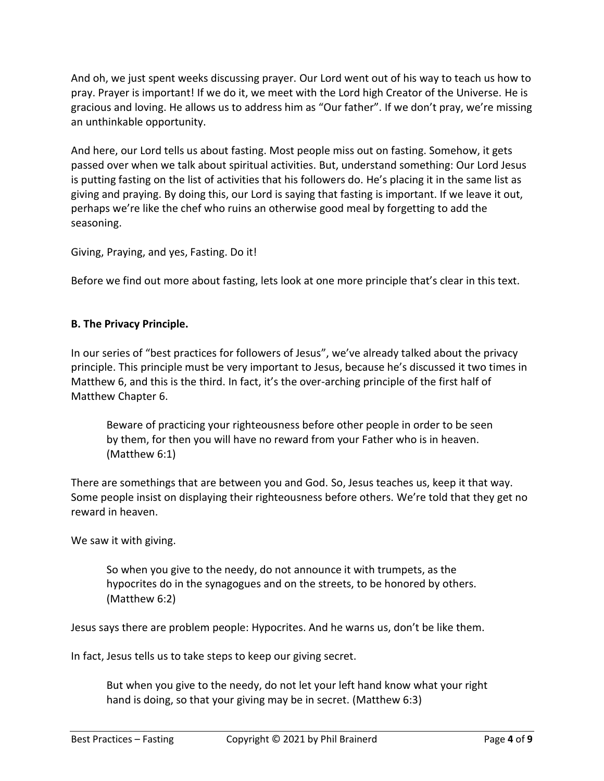And oh, we just spent weeks discussing prayer. Our Lord went out of his way to teach us how to pray. Prayer is important! If we do it, we meet with the Lord high Creator of the Universe. He is gracious and loving. He allows us to address him as "Our father". If we don't pray, we're missing an unthinkable opportunity.

And here, our Lord tells us about fasting. Most people miss out on fasting. Somehow, it gets passed over when we talk about spiritual activities. But, understand something: Our Lord Jesus is putting fasting on the list of activities that his followers do. He's placing it in the same list as giving and praying. By doing this, our Lord is saying that fasting is important. If we leave it out, perhaps we're like the chef who ruins an otherwise good meal by forgetting to add the seasoning.

Giving, Praying, and yes, Fasting. Do it!

Before we find out more about fasting, lets look at one more principle that's clear in this text.

#### **B. The Privacy Principle.**

In our series of "best practices for followers of Jesus", we've already talked about the privacy principle. This principle must be very important to Jesus, because he's discussed it two times in Matthew 6, and this is the third. In fact, it's the over-arching principle of the first half of Matthew Chapter 6.

Beware of practicing your righteousness before other people in order to be seen by them, for then you will have no reward from your Father who is in heaven. (Matthew 6:1)

There are somethings that are between you and God. So, Jesus teaches us, keep it that way. Some people insist on displaying their righteousness before others. We're told that they get no reward in heaven.

We saw it with giving.

So when you give to the needy, do not announce it with trumpets, as the hypocrites do in the synagogues and on the streets, to be honored by others. (Matthew 6:2)

Jesus says there are problem people: Hypocrites. And he warns us, don't be like them.

In fact, Jesus tells us to take steps to keep our giving secret.

But when you give to the needy, do not let your left hand know what your right hand is doing, so that your giving may be in secret. (Matthew 6:3)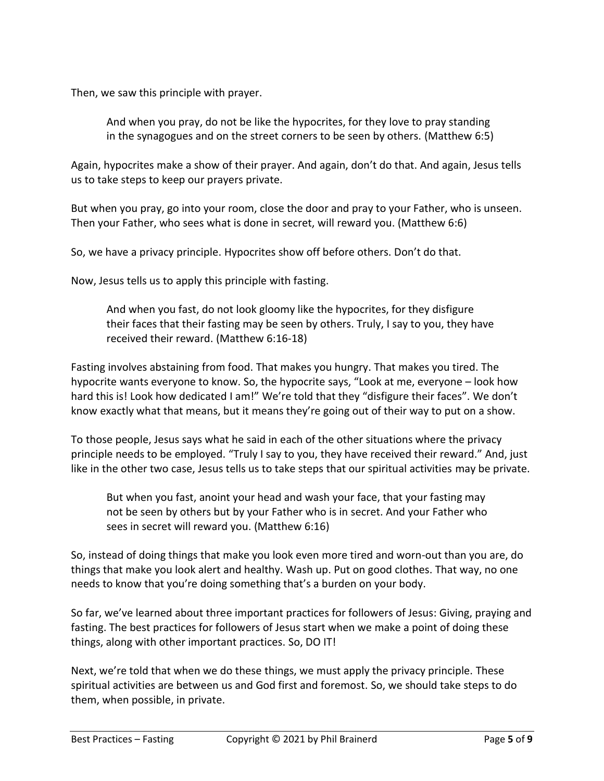Then, we saw this principle with prayer.

And when you pray, do not be like the hypocrites, for they love to pray standing in the synagogues and on the street corners to be seen by others. (Matthew 6:5)

Again, hypocrites make a show of their prayer. And again, don't do that. And again, Jesus tells us to take steps to keep our prayers private.

But when you pray, go into your room, close the door and pray to your Father, who is unseen. Then your Father, who sees what is done in secret, will reward you. (Matthew 6:6)

So, we have a privacy principle. Hypocrites show off before others. Don't do that.

Now, Jesus tells us to apply this principle with fasting.

And when you fast, do not look gloomy like the hypocrites, for they disfigure their faces that their fasting may be seen by others. Truly, I say to you, they have received their reward. (Matthew 6:16-18)

Fasting involves abstaining from food. That makes you hungry. That makes you tired. The hypocrite wants everyone to know. So, the hypocrite says, "Look at me, everyone – look how hard this is! Look how dedicated I am!" We're told that they "disfigure their faces". We don't know exactly what that means, but it means they're going out of their way to put on a show.

To those people, Jesus says what he said in each of the other situations where the privacy principle needs to be employed. "Truly I say to you, they have received their reward." And, just like in the other two case, Jesus tells us to take steps that our spiritual activities may be private.

But when you fast, anoint your head and wash your face, that your fasting may not be seen by others but by your Father who is in secret. And your Father who sees in secret will reward you. (Matthew 6:16)

So, instead of doing things that make you look even more tired and worn-out than you are, do things that make you look alert and healthy. Wash up. Put on good clothes. That way, no one needs to know that you're doing something that's a burden on your body.

So far, we've learned about three important practices for followers of Jesus: Giving, praying and fasting. The best practices for followers of Jesus start when we make a point of doing these things, along with other important practices. So, DO IT!

Next, we're told that when we do these things, we must apply the privacy principle. These spiritual activities are between us and God first and foremost. So, we should take steps to do them, when possible, in private.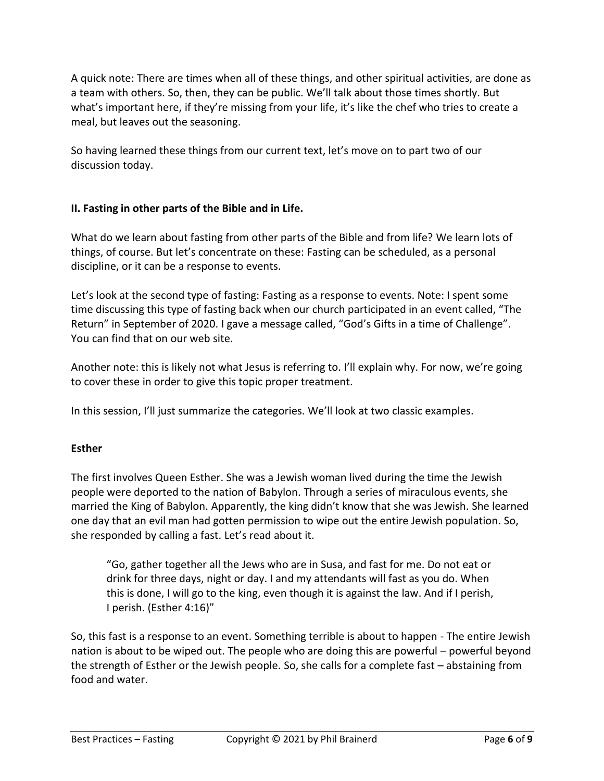A quick note: There are times when all of these things, and other spiritual activities, are done as a team with others. So, then, they can be public. We'll talk about those times shortly. But what's important here, if they're missing from your life, it's like the chef who tries to create a meal, but leaves out the seasoning.

So having learned these things from our current text, let's move on to part two of our discussion today.

## **II. Fasting in other parts of the Bible and in Life.**

What do we learn about fasting from other parts of the Bible and from life? We learn lots of things, of course. But let's concentrate on these: Fasting can be scheduled, as a personal discipline, or it can be a response to events.

Let's look at the second type of fasting: Fasting as a response to events. Note: I spent some time discussing this type of fasting back when our church participated in an event called, "The Return" in September of 2020. I gave a message called, "God's Gifts in a time of Challenge". You can find that on our web site.

Another note: this is likely not what Jesus is referring to. I'll explain why. For now, we're going to cover these in order to give this topic proper treatment.

In this session, I'll just summarize the categories. We'll look at two classic examples.

## **Esther**

The first involves Queen Esther. She was a Jewish woman lived during the time the Jewish people were deported to the nation of Babylon. Through a series of miraculous events, she married the King of Babylon. Apparently, the king didn't know that she was Jewish. She learned one day that an evil man had gotten permission to wipe out the entire Jewish population. So, she responded by calling a fast. Let's read about it.

"Go, gather together all the Jews who are in Susa, and fast for me. Do not eat or drink for three days, night or day. I and my attendants will fast as you do. When this is done, I will go to the king, even though it is against the law. And if I perish, I perish. (Esther 4:16)"

So, this fast is a response to an event. Something terrible is about to happen - The entire Jewish nation is about to be wiped out. The people who are doing this are powerful – powerful beyond the strength of Esther or the Jewish people. So, she calls for a complete fast – abstaining from food and water.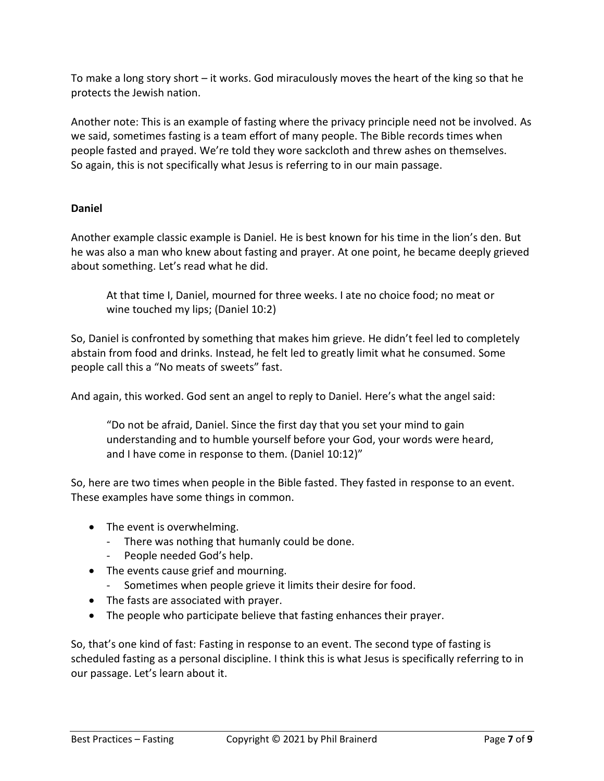To make a long story short – it works. God miraculously moves the heart of the king so that he protects the Jewish nation.

Another note: This is an example of fasting where the privacy principle need not be involved. As we said, sometimes fasting is a team effort of many people. The Bible records times when people fasted and prayed. We're told they wore sackcloth and threw ashes on themselves. So again, this is not specifically what Jesus is referring to in our main passage.

## **Daniel**

Another example classic example is Daniel. He is best known for his time in the lion's den. But he was also a man who knew about fasting and prayer. At one point, he became deeply grieved about something. Let's read what he did.

At that time I, Daniel, mourned for three weeks. I ate no choice food; no meat or wine touched my lips; (Daniel 10:2)

So, Daniel is confronted by something that makes him grieve. He didn't feel led to completely abstain from food and drinks. Instead, he felt led to greatly limit what he consumed. Some people call this a "No meats of sweets" fast.

And again, this worked. God sent an angel to reply to Daniel. Here's what the angel said:

"Do not be afraid, Daniel. Since the first day that you set your mind to gain understanding and to humble yourself before your God, your words were heard, and I have come in response to them. (Daniel 10:12)"

So, here are two times when people in the Bible fasted. They fasted in response to an event. These examples have some things in common.

- The event is overwhelming.
	- There was nothing that humanly could be done.
	- People needed God's help.
- The events cause grief and mourning.
	- Sometimes when people grieve it limits their desire for food.
- The fasts are associated with prayer.
- The people who participate believe that fasting enhances their prayer.

So, that's one kind of fast: Fasting in response to an event. The second type of fasting is scheduled fasting as a personal discipline. I think this is what Jesus is specifically referring to in our passage. Let's learn about it.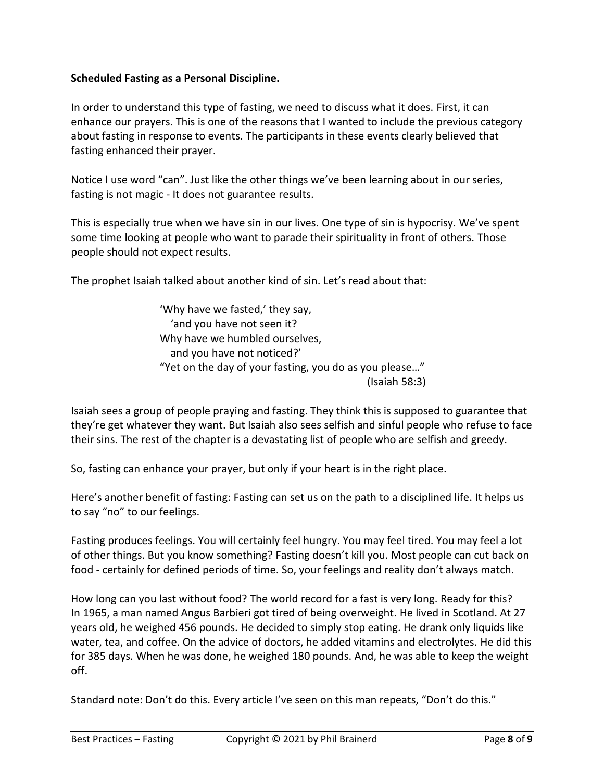### **Scheduled Fasting as a Personal Discipline.**

In order to understand this type of fasting, we need to discuss what it does. First, it can enhance our prayers. This is one of the reasons that I wanted to include the previous category about fasting in response to events. The participants in these events clearly believed that fasting enhanced their prayer.

Notice I use word "can". Just like the other things we've been learning about in our series, fasting is not magic - It does not guarantee results.

This is especially true when we have sin in our lives. One type of sin is hypocrisy. We've spent some time looking at people who want to parade their spirituality in front of others. Those people should not expect results.

The prophet Isaiah talked about another kind of sin. Let's read about that:

'Why have we fasted,' they say, 'and you have not seen it? Why have we humbled ourselves, and you have not noticed?' "Yet on the day of your fasting, you do as you please…" (Isaiah 58:3)

Isaiah sees a group of people praying and fasting. They think this is supposed to guarantee that they're get whatever they want. But Isaiah also sees selfish and sinful people who refuse to face their sins. The rest of the chapter is a devastating list of people who are selfish and greedy.

So, fasting can enhance your prayer, but only if your heart is in the right place.

Here's another benefit of fasting: Fasting can set us on the path to a disciplined life. It helps us to say "no" to our feelings.

Fasting produces feelings. You will certainly feel hungry. You may feel tired. You may feel a lot of other things. But you know something? Fasting doesn't kill you. Most people can cut back on food - certainly for defined periods of time. So, your feelings and reality don't always match.

How long can you last without food? The world record for a fast is very long. Ready for this? In 1965, a man named Angus Barbieri got tired of being overweight. He lived in Scotland. At 27 years old, he weighed 456 pounds. He decided to simply stop eating. He drank only liquids like water, tea, and coffee. On the advice of doctors, he added vitamins and electrolytes. He did this for 385 days. When he was done, he weighed 180 pounds. And, he was able to keep the weight off.

Standard note: Don't do this. Every article I've seen on this man repeats, "Don't do this."